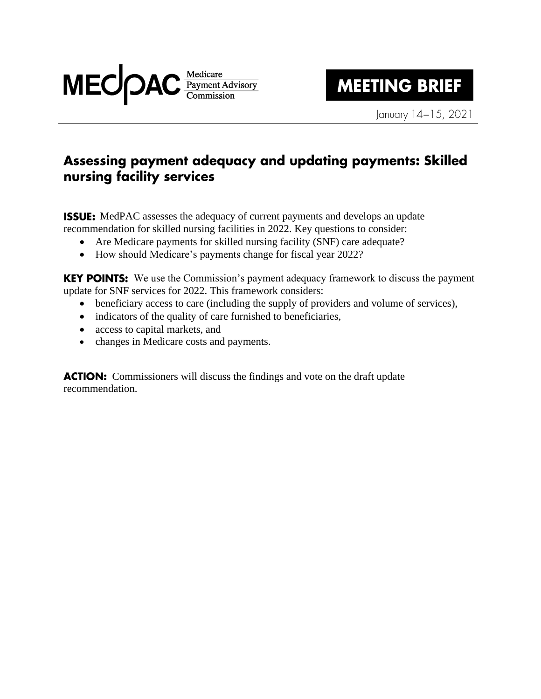

# **MEETING BRIEF**

January 14-15, 2021

## Assessing payment adequacy and updating payments: Skilled nursing facility services

**ISSUE:** MedPAC assesses the adequacy of current payments and develops an update recommendation for skilled nursing facilities in 2022. Key questions to consider:

- Are Medicare payments for skilled nursing facility (SNF) care adequate?
- How should Medicare's payments change for fiscal year 2022?

**KEY POINTS:** We use the Commission's payment adequacy framework to discuss the payment update for SNF services for 2022. This framework considers:

- beneficiary access to care (including the supply of providers and volume of services),
- indicators of the quality of care furnished to beneficiaries,
- access to capital markets, and
- changes in Medicare costs and payments.

**ACTION:** Commissioners will discuss the findings and vote on the draft update recommendation.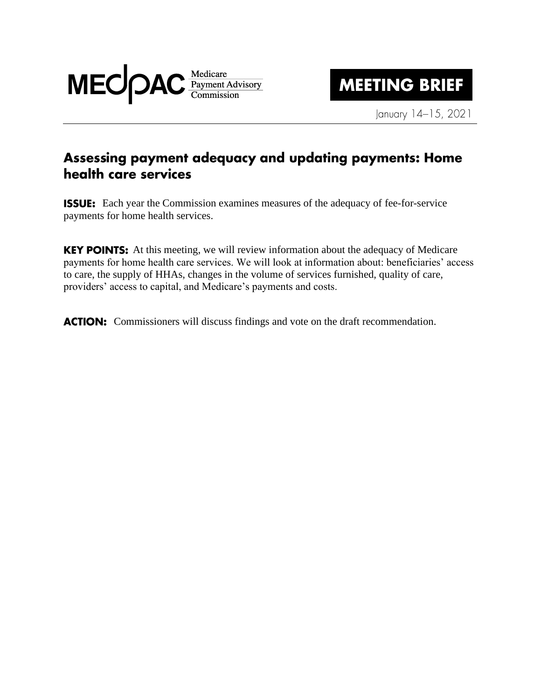

**MEETING BRIEF** 

January 14-15, 2021

### Assessing payment adequacy and updating payments: Home health care services

**ISSUE:** Each year the Commission examines measures of the adequacy of fee-for-service payments for home health services.

**KEY POINTS:** At this meeting, we will review information about the adequacy of Medicare payments for home health care services. We will look at information about: beneficiaries' access to care, the supply of HHAs, changes in the volume of services furnished, quality of care, providers' access to capital, and Medicare's payments and costs.

**ACTION:** Commissioners will discuss findings and vote on the draft recommendation.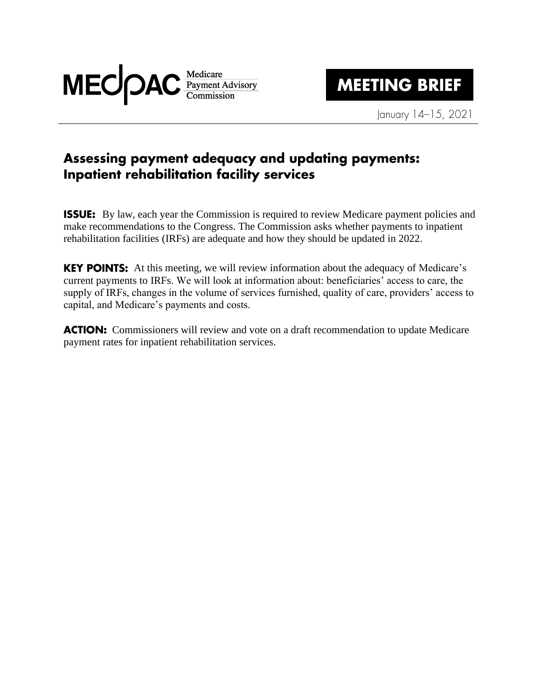

## **MEETING BRIEF**

January 14-15, 2021

#### Assessing payment adequacy and updating payments: Inpatient rehabilitation facility services

**ISSUE:** By law, each year the Commission is required to review Medicare payment policies and make recommendations to the Congress. The Commission asks whether payments to inpatient rehabilitation facilities (IRFs) are adequate and how they should be updated in 2022.

**KEY POINTS:** At this meeting, we will review information about the adequacy of Medicare's current payments to IRFs. We will look at information about: beneficiaries' access to care, the supply of IRFs, changes in the volume of services furnished, quality of care, providers' access to capital, and Medicare's payments and costs.

**ACTION:** Commissioners will review and vote on a draft recommendation to update Medicare payment rates for inpatient rehabilitation services.